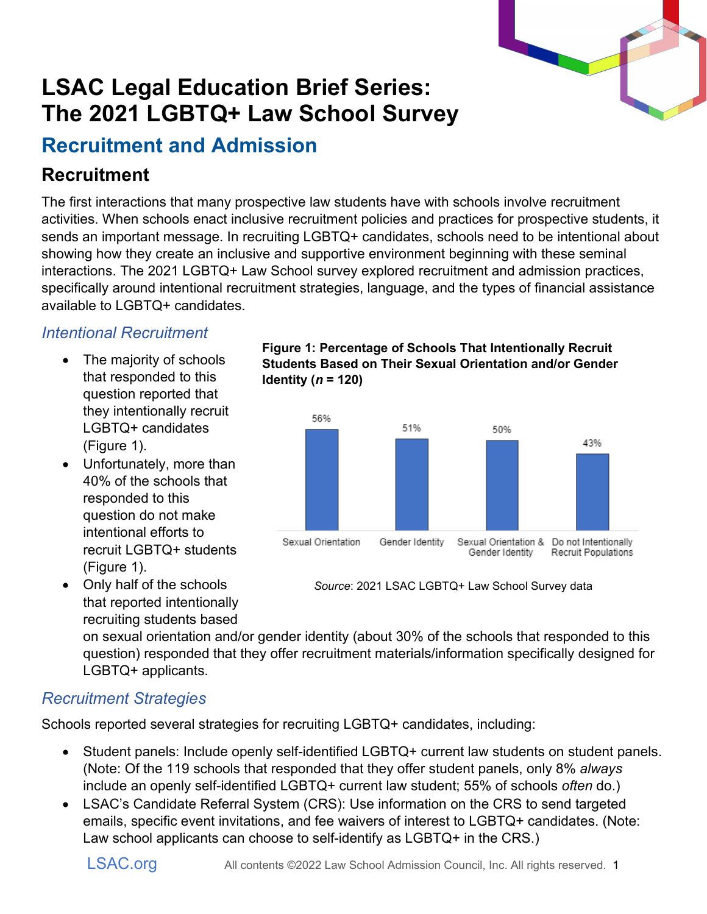# **LSAC Legal Education Brief Series: The 2021 LGBTQ+ Law School Survey**

## **Recruitment and Admission**

## **Recruitment**

The first interactions that many prospective law students have with schools involve recruitment activities. When schools enact inclusive recruitment policies and practices for prospective students, it sends an important message. In recruiting LGBTQ+ candidates, schools need to be intentional about showing how they create an inclusive and supportive environment beginning with these seminal interactions. The 2021 LGBTQ+ Law School survey explored recruitment and admission practices, specifically around intentional recruitment strategies, language, and the types of financial assistance available to LGBTQ+ candidates.

#### *Intentional Recruitment*

- The majority of schools that responded to this question reported that they intentionally recruit LGBTQ+ candidates (Figure 1).
- Unfortunately, more than 40% of the schools that responded to this question do not make intentional efforts to recruit LGBTQ+ students (Figure 1).
- Only half of the schools that reported intentionally recruiting students based

on sexual orientation and/or gender identity (about 30% of the schools that responded to this question) responded that they offer recruitment materials/information specifically designed for

LGBTQ+ applicants.

#### *Recruitment Strategies*

Schools reported several strategies for recruiting LGBTQ+ candidates, including:

- Student panels: Include openly self-identified LGBTQ+ current law students on student panels. (Note: Of the 119 schools that responded that they offer student panels, only 8% *always* include an openly self-identified LGBTQ+ current law student; 55% of schools *often* do.)
- LSAC's Candidate Referral System (CRS): Use information on the CRS to send targeted emails, specific event invitations, and fee waivers of interest to LGBTQ+ candidates. (Note: Law school applicants can choose to self-identify as LGBTQ+ in the CRS.)





*Source*: 2021 LSAC LGBTQ+ Law School Survey data